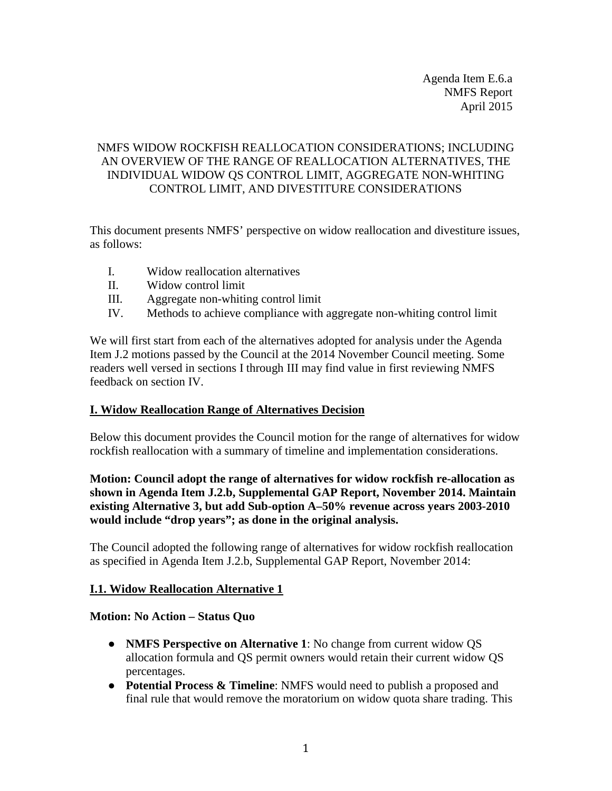Agenda Item E.6.a NMFS Report April 2015

# NMFS WIDOW ROCKFISH REALLOCATION CONSIDERATIONS; INCLUDING AN OVERVIEW OF THE RANGE OF REALLOCATION ALTERNATIVES, THE INDIVIDUAL WIDOW QS CONTROL LIMIT, AGGREGATE NON-WHITING CONTROL LIMIT, AND DIVESTITURE CONSIDERATIONS

This document presents NMFS' perspective on widow reallocation and divestiture issues, as follows:

- I. Widow reallocation alternatives
- II. Widow control limit
- III. Aggregate non-whiting control limit
- IV. Methods to achieve compliance with aggregate non-whiting control limit

We will first start from each of the alternatives adopted for analysis under the Agenda Item J.2 motions passed by the Council at the 2014 November Council meeting. Some readers well versed in sections I through III may find value in first reviewing NMFS feedback on section IV.

#### **I. Widow Reallocation Range of Alternatives Decision**

Below this document provides the Council motion for the range of alternatives for widow rockfish reallocation with a summary of timeline and implementation considerations.

## **Motion: Council adopt the range of alternatives for widow rockfish re-allocation as shown in Agenda Item J.2.b, Supplemental GAP Report, November 2014. Maintain existing Alternative 3, but add Sub-option A–50% revenue across years 2003-2010 would include "drop years"; as done in the original analysis.**

The Council adopted the following range of alternatives for widow rockfish reallocation as specified in Agenda Item J.2.b, Supplemental GAP Report, November 2014:

#### **I.1. Widow Reallocation Alternative 1**

#### **Motion: No Action – Status Quo**

- **NMFS Perspective on Alternative 1**: No change from current widow QS allocation formula and QS permit owners would retain their current widow QS percentages.
- **Potential Process & Timeline**: NMFS would need to publish a proposed and final rule that would remove the moratorium on widow quota share trading. This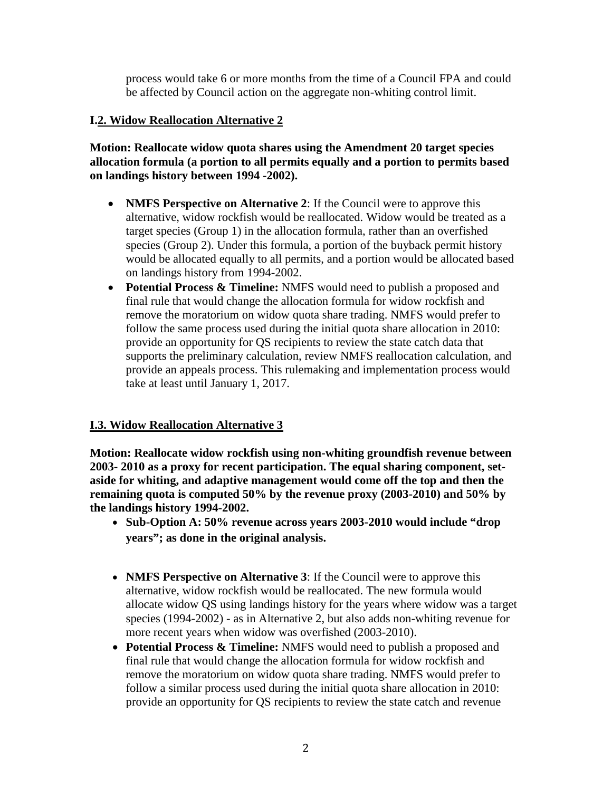process would take 6 or more months from the time of a Council FPA and could be affected by Council action on the aggregate non-whiting control limit.

## **I.2. Widow Reallocation Alternative 2**

**Motion: Reallocate widow quota shares using the Amendment 20 target species allocation formula (a portion to all permits equally and a portion to permits based on landings history between 1994 -2002).** 

- **NMFS Perspective on Alternative 2:** If the Council were to approve this alternative, widow rockfish would be reallocated. Widow would be treated as a target species (Group 1) in the allocation formula, rather than an overfished species (Group 2). Under this formula, a portion of the buyback permit history would be allocated equally to all permits, and a portion would be allocated based on landings history from 1994-2002.
- **Potential Process & Timeline:** NMFS would need to publish a proposed and final rule that would change the allocation formula for widow rockfish and remove the moratorium on widow quota share trading. NMFS would prefer to follow the same process used during the initial quota share allocation in 2010: provide an opportunity for QS recipients to review the state catch data that supports the preliminary calculation, review NMFS reallocation calculation, and provide an appeals process. This rulemaking and implementation process would take at least until January 1, 2017.

# **I.3. Widow Reallocation Alternative 3**

**Motion: Reallocate widow rockfish using non-whiting groundfish revenue between 2003- 2010 as a proxy for recent participation. The equal sharing component, setaside for whiting, and adaptive management would come off the top and then the remaining quota is computed 50% by the revenue proxy (2003-2010) and 50% by the landings history 1994-2002.**

- **Sub-Option A: 50% revenue across years 2003-2010 would include "drop years"; as done in the original analysis.**
- **NMFS Perspective on Alternative 3**: If the Council were to approve this alternative, widow rockfish would be reallocated. The new formula would allocate widow QS using landings history for the years where widow was a target species (1994-2002) - as in Alternative 2, but also adds non-whiting revenue for more recent years when widow was overfished (2003-2010).
- **Potential Process & Timeline:** NMFS would need to publish a proposed and final rule that would change the allocation formula for widow rockfish and remove the moratorium on widow quota share trading. NMFS would prefer to follow a similar process used during the initial quota share allocation in 2010: provide an opportunity for QS recipients to review the state catch and revenue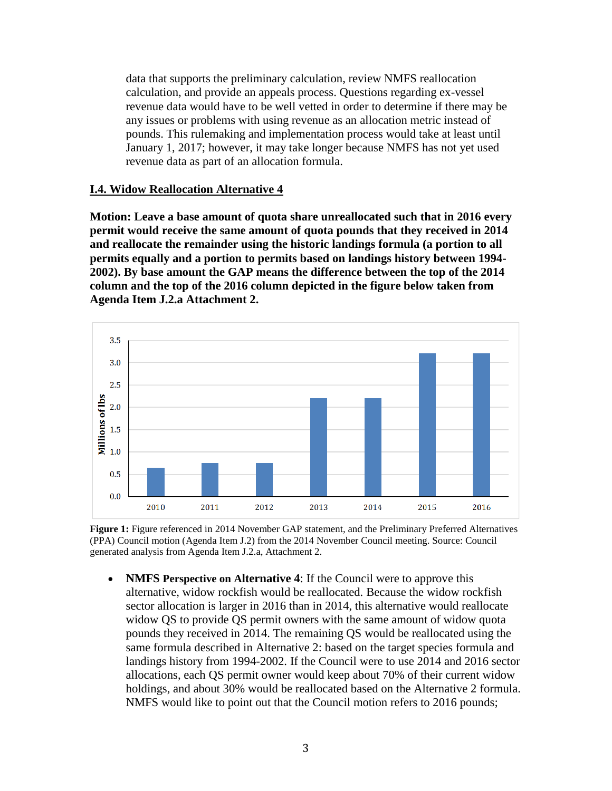data that supports the preliminary calculation, review NMFS reallocation calculation, and provide an appeals process. Questions regarding ex-vessel revenue data would have to be well vetted in order to determine if there may be any issues or problems with using revenue as an allocation metric instead of pounds. This rulemaking and implementation process would take at least until January 1, 2017; however, it may take longer because NMFS has not yet used revenue data as part of an allocation formula.

## **I.4. Widow Reallocation Alternative 4**

**Motion: Leave a base amount of quota share unreallocated such that in 2016 every permit would receive the same amount of quota pounds that they received in 2014 and reallocate the remainder using the historic landings formula (a portion to all permits equally and a portion to permits based on landings history between 1994- 2002). By base amount the GAP means the difference between the top of the 2014 column and the top of the 2016 column depicted in the figure below taken from Agenda Item J.2.a Attachment 2.**



**Figure 1:** Figure referenced in 2014 November GAP statement, and the Preliminary Preferred Alternatives (PPA) Council motion (Agenda Item J.2) from the 2014 November Council meeting. Source: Council generated analysis from Agenda Item J.2.a, Attachment 2.

• **NMFS Perspective on Alternative 4**: If the Council were to approve this alternative, widow rockfish would be reallocated. Because the widow rockfish sector allocation is larger in 2016 than in 2014, this alternative would reallocate widow QS to provide QS permit owners with the same amount of widow quota pounds they received in 2014. The remaining QS would be reallocated using the same formula described in Alternative 2: based on the target species formula and landings history from 1994-2002. If the Council were to use 2014 and 2016 sector allocations, each QS permit owner would keep about 70% of their current widow holdings, and about 30% would be reallocated based on the Alternative 2 formula. NMFS would like to point out that the Council motion refers to 2016 pounds;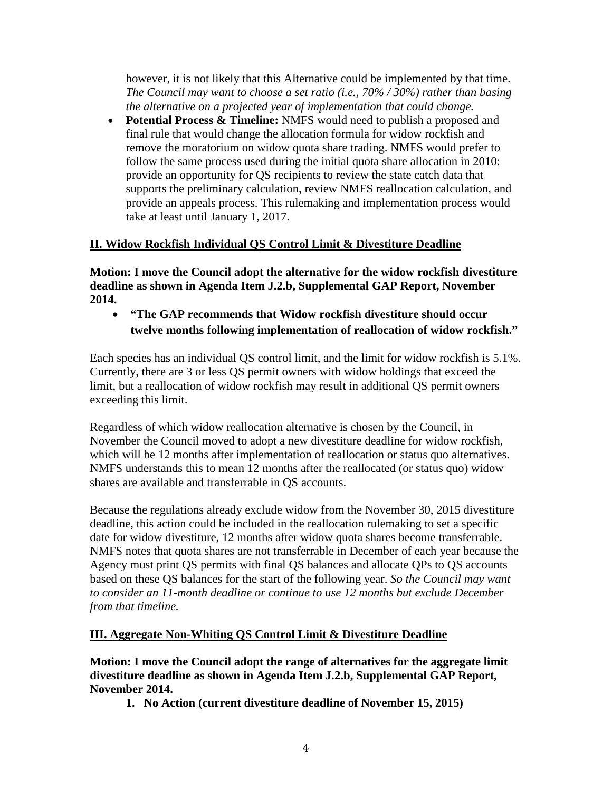however, it is not likely that this Alternative could be implemented by that time. *The Council may want to choose a set ratio (i.e., 70% / 30%) rather than basing the alternative on a projected year of implementation that could change.*

• **Potential Process & Timeline:** NMFS would need to publish a proposed and final rule that would change the allocation formula for widow rockfish and remove the moratorium on widow quota share trading. NMFS would prefer to follow the same process used during the initial quota share allocation in 2010: provide an opportunity for QS recipients to review the state catch data that supports the preliminary calculation, review NMFS reallocation calculation, and provide an appeals process. This rulemaking and implementation process would take at least until January 1, 2017.

# **II. Widow Rockfish Individual QS Control Limit & Divestiture Deadline**

**Motion: I move the Council adopt the alternative for the widow rockfish divestiture deadline as shown in Agenda Item J.2.b, Supplemental GAP Report, November 2014.**

• **"The GAP recommends that Widow rockfish divestiture should occur twelve months following implementation of reallocation of widow rockfish."**

Each species has an individual QS control limit, and the limit for widow rockfish is 5.1%. Currently, there are 3 or less QS permit owners with widow holdings that exceed the limit, but a reallocation of widow rockfish may result in additional QS permit owners exceeding this limit.

Regardless of which widow reallocation alternative is chosen by the Council, in November the Council moved to adopt a new divestiture deadline for widow rockfish, which will be 12 months after implementation of reallocation or status quo alternatives. NMFS understands this to mean 12 months after the reallocated (or status quo) widow shares are available and transferrable in QS accounts.

Because the regulations already exclude widow from the November 30, 2015 divestiture deadline, this action could be included in the reallocation rulemaking to set a specific date for widow divestiture, 12 months after widow quota shares become transferrable. NMFS notes that quota shares are not transferrable in December of each year because the Agency must print QS permits with final QS balances and allocate QPs to QS accounts based on these QS balances for the start of the following year. *So the Council may want to consider an 11-month deadline or continue to use 12 months but exclude December from that timeline.*

# **III. Aggregate Non-Whiting QS Control Limit & Divestiture Deadline**

**Motion: I move the Council adopt the range of alternatives for the aggregate limit divestiture deadline as shown in Agenda Item J.2.b, Supplemental GAP Report, November 2014.** 

**1. No Action (current divestiture deadline of November 15, 2015)**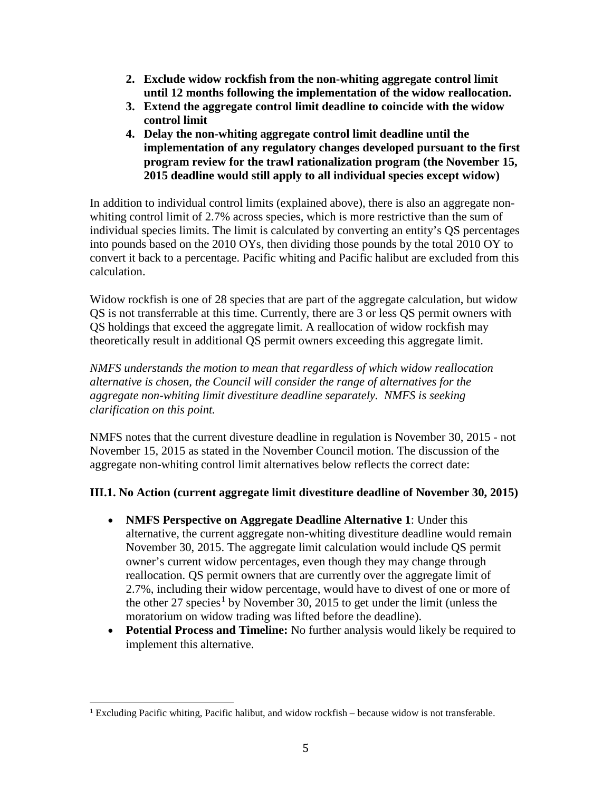- **2. Exclude widow rockfish from the non-whiting aggregate control limit until 12 months following the implementation of the widow reallocation.**
- **3. Extend the aggregate control limit deadline to coincide with the widow control limit**
- **4. Delay the non-whiting aggregate control limit deadline until the implementation of any regulatory changes developed pursuant to the first program review for the trawl rationalization program (the November 15, 2015 deadline would still apply to all individual species except widow)**

In addition to individual control limits (explained above), there is also an aggregate nonwhiting control limit of 2.7% across species, which is more restrictive than the sum of individual species limits. The limit is calculated by converting an entity's QS percentages into pounds based on the 2010 OYs, then dividing those pounds by the total 2010 OY to convert it back to a percentage. Pacific whiting and Pacific halibut are excluded from this calculation.

Widow rockfish is one of 28 species that are part of the aggregate calculation, but widow QS is not transferrable at this time. Currently, there are 3 or less QS permit owners with QS holdings that exceed the aggregate limit. A reallocation of widow rockfish may theoretically result in additional QS permit owners exceeding this aggregate limit.

*NMFS understands the motion to mean that regardless of which widow reallocation alternative is chosen, the Council will consider the range of alternatives for the aggregate non-whiting limit divestiture deadline separately. NMFS is seeking clarification on this point.* 

NMFS notes that the current divesture deadline in regulation is November 30, 2015 - not November 15, 2015 as stated in the November Council motion. The discussion of the aggregate non-whiting control limit alternatives below reflects the correct date:

# **III.1. No Action (current aggregate limit divestiture deadline of November 30, 2015)**

- **NMFS Perspective on Aggregate Deadline Alternative 1**: Under this alternative, the current aggregate non-whiting divestiture deadline would remain November 30, 2015. The aggregate limit calculation would include QS permit owner's current widow percentages, even though they may change through reallocation. QS permit owners that are currently over the aggregate limit of 2.7%, including their widow percentage, would have to divest of one or more of the other 27 species<sup>[1](#page-4-0)</sup> by November 30, 2015 to get under the limit (unless the moratorium on widow trading was lifted before the deadline).
- **Potential Process and Timeline:** No further analysis would likely be required to implement this alternative.

<span id="page-4-0"></span><sup>&</sup>lt;sup>1</sup> Excluding Pacific whiting, Pacific halibut, and widow rockfish  $-$  because widow is not transferable.  $\overline{1}$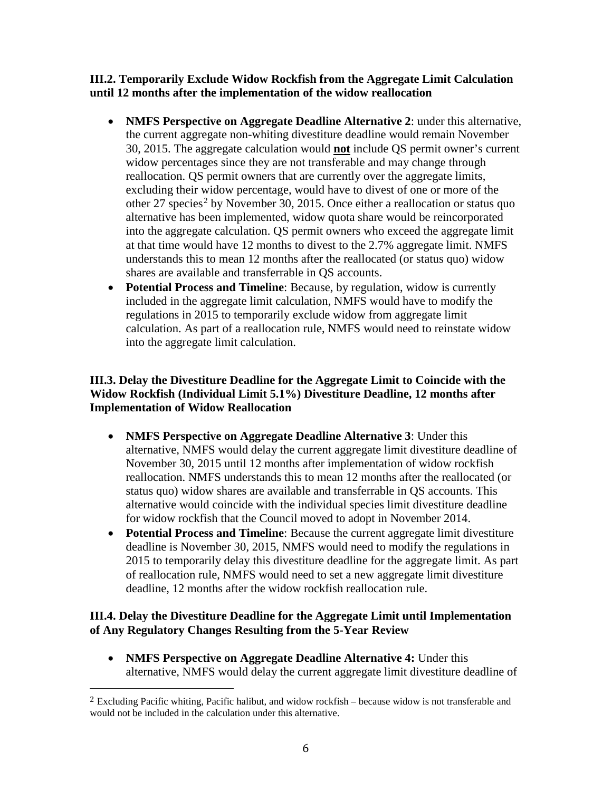**III.2. Temporarily Exclude Widow Rockfish from the Aggregate Limit Calculation until 12 months after the implementation of the widow reallocation**

- **NMFS Perspective on Aggregate Deadline Alternative 2**: under this alternative, the current aggregate non-whiting divestiture deadline would remain November 30, 2015. The aggregate calculation would **not** include QS permit owner's current widow percentages since they are not transferable and may change through reallocation. QS permit owners that are currently over the aggregate limits, excluding their widow percentage, would have to divest of one or more of the other [2](#page-5-0)7 species<sup>2</sup> by November 30, 2015. Once either a reallocation or status quo alternative has been implemented, widow quota share would be reincorporated into the aggregate calculation. QS permit owners who exceed the aggregate limit at that time would have 12 months to divest to the 2.7% aggregate limit. NMFS understands this to mean 12 months after the reallocated (or status quo) widow shares are available and transferrable in QS accounts.
- **Potential Process and Timeline**: Because, by regulation, widow is currently included in the aggregate limit calculation, NMFS would have to modify the regulations in 2015 to temporarily exclude widow from aggregate limit calculation. As part of a reallocation rule, NMFS would need to reinstate widow into the aggregate limit calculation.

## **III.3. Delay the Divestiture Deadline for the Aggregate Limit to Coincide with the Widow Rockfish (Individual Limit 5.1%) Divestiture Deadline, 12 months after Implementation of Widow Reallocation**

- **NMFS Perspective on Aggregate Deadline Alternative 3**: Under this alternative, NMFS would delay the current aggregate limit divestiture deadline of November 30, 2015 until 12 months after implementation of widow rockfish reallocation. NMFS understands this to mean 12 months after the reallocated (or status quo) widow shares are available and transferrable in QS accounts. This alternative would coincide with the individual species limit divestiture deadline for widow rockfish that the Council moved to adopt in November 2014.
- **Potential Process and Timeline**: Because the current aggregate limit divestiture deadline is November 30, 2015, NMFS would need to modify the regulations in 2015 to temporarily delay this divestiture deadline for the aggregate limit. As part of reallocation rule, NMFS would need to set a new aggregate limit divestiture deadline, 12 months after the widow rockfish reallocation rule.

# **III.4. Delay the Divestiture Deadline for the Aggregate Limit until Implementation of Any Regulatory Changes Resulting from the 5-Year Review**

• **NMFS Perspective on Aggregate Deadline Alternative 4:** Under this alternative, NMFS would delay the current aggregate limit divestiture deadline of

<span id="page-5-0"></span> $2$  Excluding Pacific whiting, Pacific halibut, and widow rockfish – because widow is not transferable and would not be included in the calculation under this alternative. I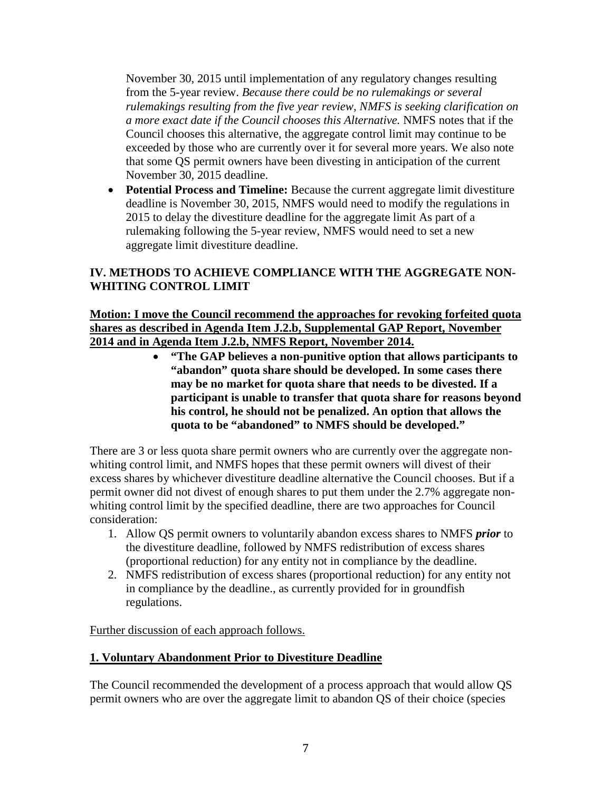November 30, 2015 until implementation of any regulatory changes resulting from the 5-year review. *Because there could be no rulemakings or several rulemakings resulting from the five year review, NMFS is seeking clarification on a more exact date if the Council chooses this Alternative.* NMFS notes that if the Council chooses this alternative, the aggregate control limit may continue to be exceeded by those who are currently over it for several more years. We also note that some QS permit owners have been divesting in anticipation of the current November 30, 2015 deadline.

• **Potential Process and Timeline:** Because the current aggregate limit divestiture deadline is November 30, 2015, NMFS would need to modify the regulations in 2015 to delay the divestiture deadline for the aggregate limit As part of a rulemaking following the 5-year review, NMFS would need to set a new aggregate limit divestiture deadline.

# **IV. METHODS TO ACHIEVE COMPLIANCE WITH THE AGGREGATE NON-WHITING CONTROL LIMIT**

## **Motion: I move the Council recommend the approaches for revoking forfeited quota shares as described in Agenda Item J.2.b, Supplemental GAP Report, November 2014 and in Agenda Item J.2.b, NMFS Report, November 2014.**

• **"The GAP believes a non-punitive option that allows participants to "abandon" quota share should be developed. In some cases there may be no market for quota share that needs to be divested. If a participant is unable to transfer that quota share for reasons beyond his control, he should not be penalized. An option that allows the quota to be "abandoned" to NMFS should be developed."**

There are 3 or less quota share permit owners who are currently over the aggregate nonwhiting control limit, and NMFS hopes that these permit owners will divest of their excess shares by whichever divestiture deadline alternative the Council chooses. But if a permit owner did not divest of enough shares to put them under the 2.7% aggregate nonwhiting control limit by the specified deadline, there are two approaches for Council consideration:

- 1. Allow QS permit owners to voluntarily abandon excess shares to NMFS *prior* to the divestiture deadline, followed by NMFS redistribution of excess shares (proportional reduction) for any entity not in compliance by the deadline.
- 2. NMFS redistribution of excess shares (proportional reduction) for any entity not in compliance by the deadline., as currently provided for in groundfish regulations.

Further discussion of each approach follows.

# **1. Voluntary Abandonment Prior to Divestiture Deadline**

The Council recommended the development of a process approach that would allow QS permit owners who are over the aggregate limit to abandon QS of their choice (species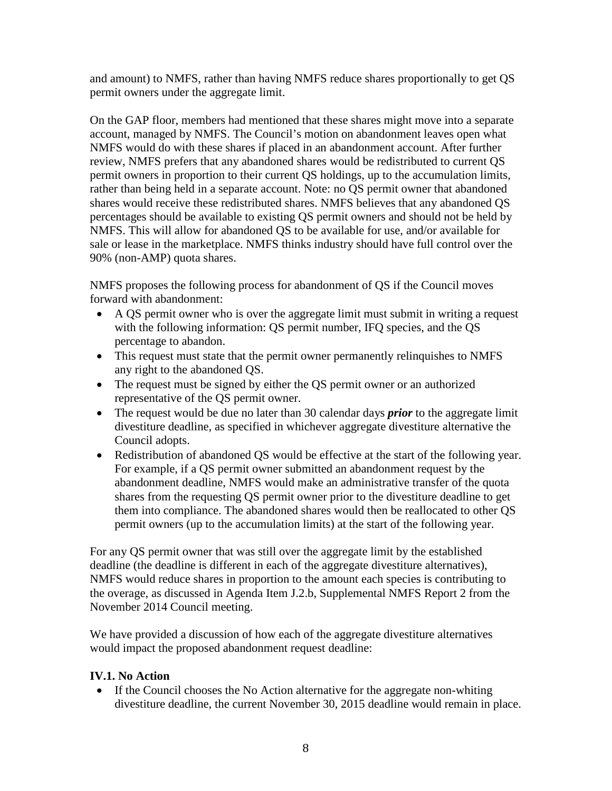and amount) to NMFS, rather than having NMFS reduce shares proportionally to get QS permit owners under the aggregate limit.

On the GAP floor, members had mentioned that these shares might move into a separate account, managed by NMFS. The Council's motion on abandonment leaves open what NMFS would do with these shares if placed in an abandonment account. After further review, NMFS prefers that any abandoned shares would be redistributed to current QS permit owners in proportion to their current QS holdings, up to the accumulation limits, rather than being held in a separate account. Note: no QS permit owner that abandoned shares would receive these redistributed shares. NMFS believes that any abandoned QS percentages should be available to existing QS permit owners and should not be held by NMFS. This will allow for abandoned QS to be available for use, and/or available for sale or lease in the marketplace. NMFS thinks industry should have full control over the 90% (non-AMP) quota shares.

NMFS proposes the following process for abandonment of QS if the Council moves forward with abandonment:

- A QS permit owner who is over the aggregate limit must submit in writing a request with the following information: QS permit number, IFQ species, and the QS percentage to abandon.
- This request must state that the permit owner permanently relinquishes to NMFS any right to the abandoned QS.
- The request must be signed by either the QS permit owner or an authorized representative of the QS permit owner.
- The request would be due no later than 30 calendar days *prior* to the aggregate limit divestiture deadline, as specified in whichever aggregate divestiture alternative the Council adopts.
- Redistribution of abandoned QS would be effective at the start of the following year. For example, if a QS permit owner submitted an abandonment request by the abandonment deadline, NMFS would make an administrative transfer of the quota shares from the requesting QS permit owner prior to the divestiture deadline to get them into compliance. The abandoned shares would then be reallocated to other QS permit owners (up to the accumulation limits) at the start of the following year.

For any QS permit owner that was still over the aggregate limit by the established deadline (the deadline is different in each of the aggregate divestiture alternatives), NMFS would reduce shares in proportion to the amount each species is contributing to the overage, as discussed in Agenda Item J.2.b, Supplemental NMFS Report 2 from the November 2014 Council meeting.

We have provided a discussion of how each of the aggregate divestiture alternatives would impact the proposed abandonment request deadline:

# **IV.1. No Action**

• If the Council chooses the No Action alternative for the aggregate non-whiting divestiture deadline, the current November 30, 2015 deadline would remain in place.